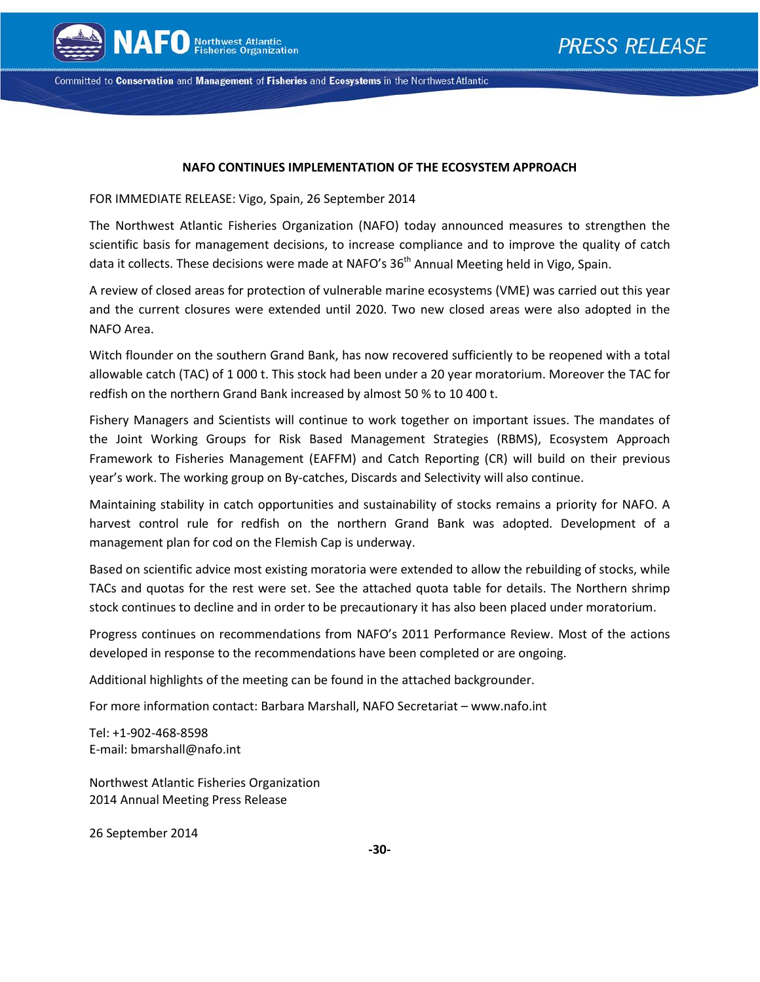

Committed to Conservation and Management of Fisheries and Ecosystems in the Northwest Atlantic

### **NAFO CONTINUES IMPLEMENTATION OF THE ECOSYSTEM APPROACH**

FOR IMMEDIATE RELEASE: Vigo, Spain, 26 September 2014

The Northwest Atlantic Fisheries Organization (NAFO) today announced measures to strengthen the scientific basis for management decisions, to increase compliance and to improve the quality of catch data it collects. These decisions were made at NAFO's  $36<sup>th</sup>$  Annual Meeting held in Vigo, Spain.

A review of closed areas for protection of vulnerable marine ecosystems (VME) was carried out this year and the current closures were extended until 2020. Two new closed areas were also adopted in the NAFO Area.

Witch flounder on the southern Grand Bank, has now recovered sufficiently to be reopened with a total allowable catch (TAC) of 1 000 t. This stock had been under a 20 year moratorium. Moreover the TAC for redfish on the northern Grand Bank increased by almost 50 % to 10 400 t.

Fishery Managers and Scientists will continue to work together on important issues. The mandates of the Joint Working Groups for Risk Based Management Strategies (RBMS), Ecosystem Approach Framework to Fisheries Management (EAFFM) and Catch Reporting (CR) will build on their previous year's work. The working group on By-catches, Discards and Selectivity will also continue.

Maintaining stability in catch opportunities and sustainability of stocks remains a priority for NAFO. A harvest control rule for redfish on the northern Grand Bank was adopted. Development of a management plan for cod on the Flemish Cap is underway.

Based on scientific advice most existing moratoria were extended to allow the rebuilding of stocks, while TACs and quotas for the rest were set. See the attached quota table for details. The Northern shrimp stock continues to decline and in order to be precautionary it has also been placed under moratorium.

Progress continues on recommendations from NAFO's 2011 Performance Review. Most of the actions developed in response to the recommendations have been completed or are ongoing.

Additional highlights of the meeting can be found in the attached backgrounder.

For more information contact: Barbara Marshall, NAFO Secretariat – www.nafo.int

Tel: +1-902-468-8598 E-mail: bmarshall@nafo.int

Northwest Atlantic Fisheries Organization 2014 Annual Meeting Press Release

26 September 2014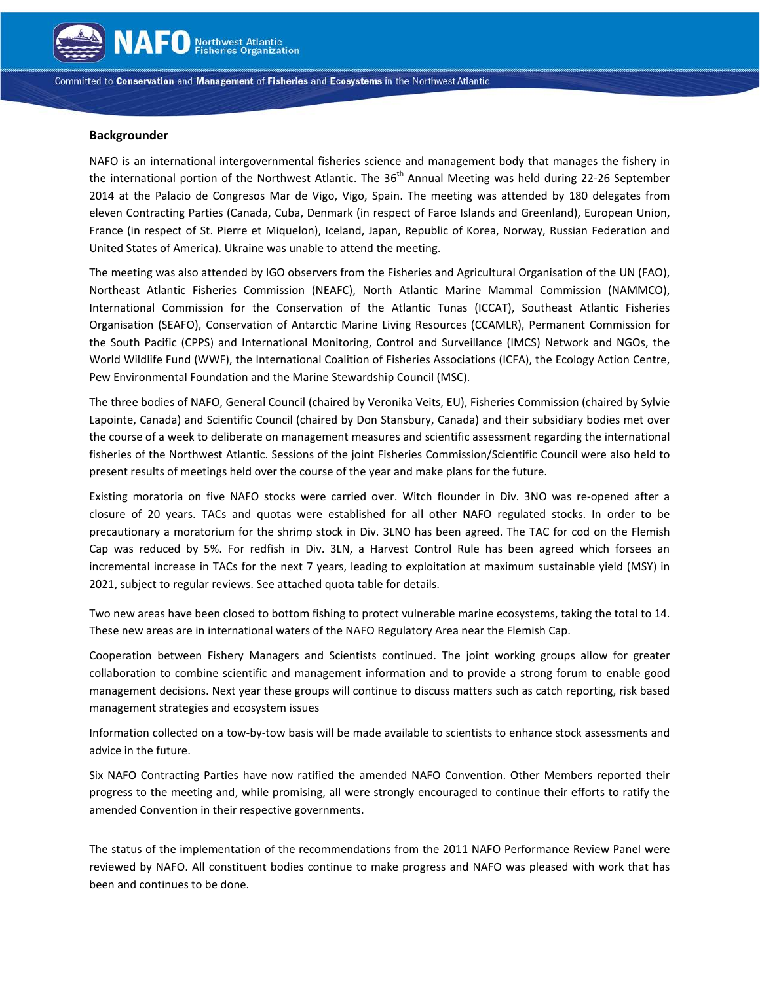

Committed to Conservation and Management of Fisheries and Ecosystems in the Northwest Atlantic

#### **Backgrounder**

NAFO is an international intergovernmental fisheries science and management body that manages the fishery in the international portion of the Northwest Atlantic. The  $36<sup>th</sup>$  Annual Meeting was held during 22-26 September 2014 at the Palacio de Congresos Mar de Vigo, Vigo, Spain. The meeting was attended by 180 delegates from eleven Contracting Parties (Canada, Cuba, Denmark (in respect of Faroe Islands and Greenland), European Union, France (in respect of St. Pierre et Miquelon), Iceland, Japan, Republic of Korea, Norway, Russian Federation and United States of America). Ukraine was unable to attend the meeting.

The meeting was also attended by IGO observers from the Fisheries and Agricultural Organisation of the UN (FAO), Northeast Atlantic Fisheries Commission (NEAFC), North Atlantic Marine Mammal Commission (NAMMCO), International Commission for the Conservation of the Atlantic Tunas (ICCAT), Southeast Atlantic Fisheries Organisation (SEAFO), Conservation of Antarctic Marine Living Resources (CCAMLR), Permanent Commission for the South Pacific (CPPS) and International Monitoring, Control and Surveillance (IMCS) Network and NGOs, the World Wildlife Fund (WWF), the International Coalition of Fisheries Associations (ICFA), the Ecology Action Centre, Pew Environmental Foundation and the Marine Stewardship Council (MSC).

The three bodies of NAFO, General Council (chaired by Veronika Veits, EU), Fisheries Commission (chaired by Sylvie Lapointe, Canada) and Scientific Council (chaired by Don Stansbury, Canada) and their subsidiary bodies met over the course of a week to deliberate on management measures and scientific assessment regarding the international fisheries of the Northwest Atlantic. Sessions of the joint Fisheries Commission/Scientific Council were also held to present results of meetings held over the course of the year and make plans for the future.

Existing moratoria on five NAFO stocks were carried over. Witch flounder in Div. 3NO was re-opened after a closure of 20 years. TACs and quotas were established for all other NAFO regulated stocks. In order to be precautionary a moratorium for the shrimp stock in Div. 3LNO has been agreed. The TAC for cod on the Flemish Cap was reduced by 5%. For redfish in Div. 3LN, a Harvest Control Rule has been agreed which forsees an incremental increase in TACs for the next 7 years, leading to exploitation at maximum sustainable yield (MSY) in 2021, subject to regular reviews. See attached quota table for details.

Two new areas have been closed to bottom fishing to protect vulnerable marine ecosystems, taking the total to 14. These new areas are in international waters of the NAFO Regulatory Area near the Flemish Cap.

Cooperation between Fishery Managers and Scientists continued. The joint working groups allow for greater collaboration to combine scientific and management information and to provide a strong forum to enable good management decisions. Next year these groups will continue to discuss matters such as catch reporting, risk based management strategies and ecosystem issues

Information collected on a tow-by-tow basis will be made available to scientists to enhance stock assessments and advice in the future.

Six NAFO Contracting Parties have now ratified the amended NAFO Convention. Other Members reported their progress to the meeting and, while promising, all were strongly encouraged to continue their efforts to ratify the amended Convention in their respective governments.

The status of the implementation of the recommendations from the 2011 NAFO Performance Review Panel were reviewed by NAFO. All constituent bodies continue to make progress and NAFO was pleased with work that has been and continues to be done.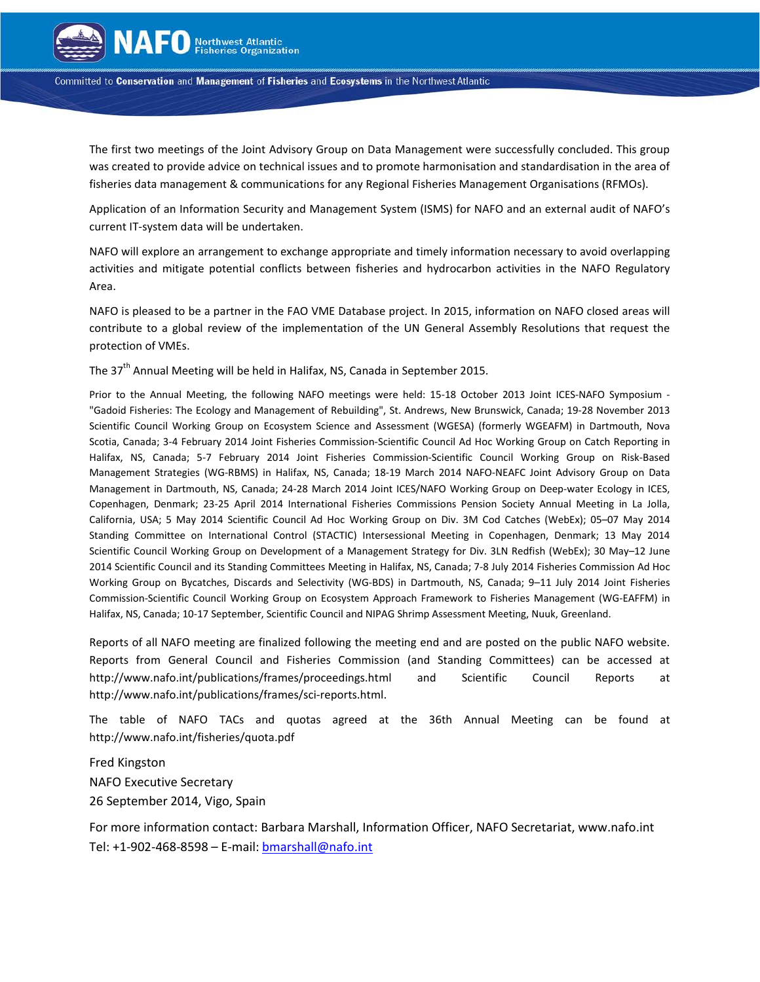

Committed to Conservation and Management of Fisheries and Ecosystems in the Northwest Atlantic

The first two meetings of the Joint Advisory Group on Data Management were successfully concluded. This group was created to provide advice on technical issues and to promote harmonisation and standardisation in the area of fisheries data management & communications for any Regional Fisheries Management Organisations (RFMOs).

Application of an Information Security and Management System (ISMS) for NAFO and an external audit of NAFO's current IT-system data will be undertaken.

NAFO will explore an arrangement to exchange appropriate and timely information necessary to avoid overlapping activities and mitigate potential conflicts between fisheries and hydrocarbon activities in the NAFO Regulatory Area.

NAFO is pleased to be a partner in the FAO VME Database project. In 2015, information on NAFO closed areas will contribute to a global review of the implementation of the UN General Assembly Resolutions that request the protection of VMEs.

The 37<sup>th</sup> Annual Meeting will be held in Halifax, NS, Canada in September 2015.

Prior to the Annual Meeting, the following NAFO meetings were held: 15-18 October 2013 Joint ICES-NAFO Symposium - "Gadoid Fisheries: The Ecology and Management of Rebuilding", St. Andrews, New Brunswick, Canada; 19-28 November 2013 Scientific Council Working Group on Ecosystem Science and Assessment (WGESA) (formerly WGEAFM) in Dartmouth, Nova Scotia, Canada; 3-4 February 2014 Joint Fisheries Commission-Scientific Council Ad Hoc Working Group on Catch Reporting in Halifax, NS, Canada; 5-7 February 2014 Joint Fisheries Commission-Scientific Council Working Group on Risk-Based Management Strategies (WG-RBMS) in Halifax, NS, Canada; 18-19 March 2014 NAFO-NEAFC Joint Advisory Group on Data Management in Dartmouth, NS, Canada; 24-28 March 2014 Joint ICES/NAFO Working Group on Deep-water Ecology in ICES, Copenhagen, Denmark; 23-25 April 2014 International Fisheries Commissions Pension Society Annual Meeting in La Jolla, California, USA; 5 May 2014 Scientific Council Ad Hoc Working Group on Div. 3M Cod Catches (WebEx); 05–07 May 2014 Standing Committee on International Control (STACTIC) Intersessional Meeting in Copenhagen, Denmark; 13 May 2014 Scientific Council Working Group on Development of a Management Strategy for Div. 3LN Redfish (WebEx); 30 May–12 June 2014 Scientific Council and its Standing Committees Meeting in Halifax, NS, Canada; 7-8 July 2014 Fisheries Commission Ad Hoc Working Group on Bycatches, Discards and Selectivity (WG-BDS) in Dartmouth, NS, Canada; 9–11 July 2014 Joint Fisheries Commission-Scientific Council Working Group on Ecosystem Approach Framework to Fisheries Management (WG-EAFFM) in Halifax, NS, Canada; 10-17 September, Scientific Council and NIPAG Shrimp Assessment Meeting, Nuuk, Greenland.

Reports of all NAFO meeting are finalized following the meeting end and are posted on the public NAFO website. Reports from General Council and Fisheries Commission (and Standing Committees) can be accessed at http://www.nafo.int/publications/frames/proceedings.html and Scientific Council Reports at http://www.nafo.int/publications/frames/sci-reports.html.

The table of NAFO TACs and quotas agreed at the 36th Annual Meeting can be found at http://www.nafo.int/fisheries/quota.pdf

Fred Kingston NAFO Executive Secretary 26 September 2014, Vigo, Spain

For more information contact: Barbara Marshall, Information Officer, NAFO Secretariat, www.nafo.int Tel: +1-902-468-8598 - E-mail: [bmarshall@nafo.int](mailto:bmarshall@nafo.int)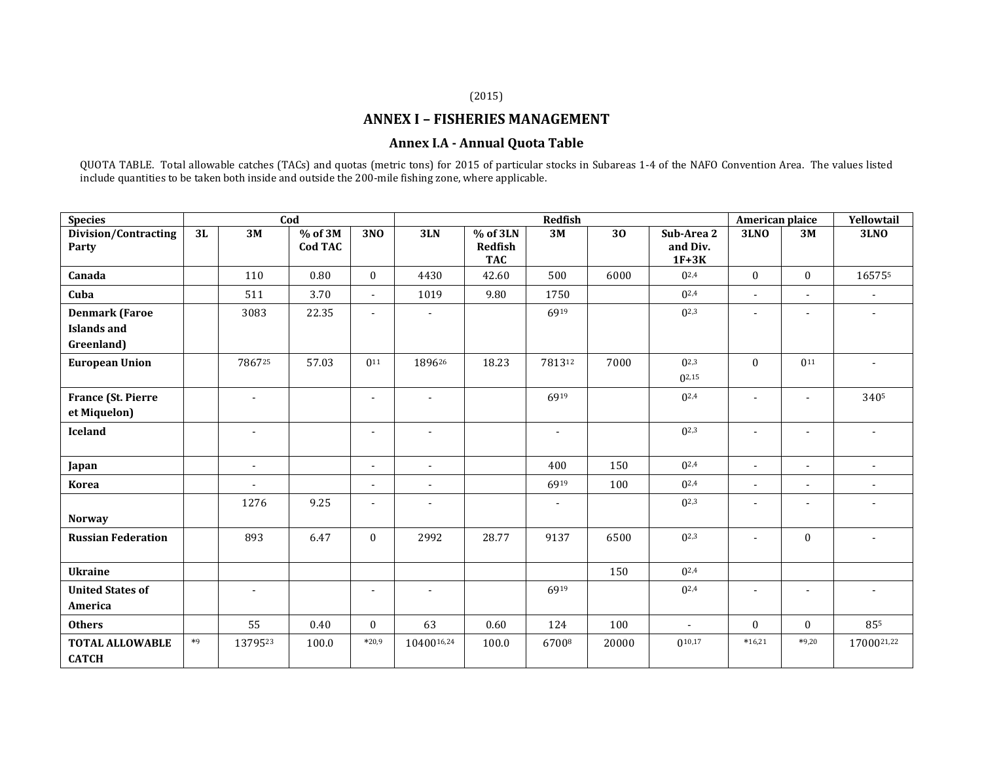### (2015)

# **ANNEX I – FISHERIES MANAGEMENT**

## **Annex I.A - Annual Quota Table**

QUOTA TABLE. Total allowable catches (TACs) and quotas (metric tons) for 2015 of particular stocks in Subareas 1-4 of the NAFO Convention Area. The values listed include quantities to be taken both inside and outside the 200-mile fishing zone, where applicable.

| <b>Species</b>                         | Cod  |                |                           |                          | <b>Redfish</b>           |                                   |                          |                 |                                   |                          | American plaice          | Yellowtail               |
|----------------------------------------|------|----------------|---------------------------|--------------------------|--------------------------|-----------------------------------|--------------------------|-----------------|-----------------------------------|--------------------------|--------------------------|--------------------------|
| <b>Division/Contracting</b><br>Party   | 3L   | 3M             | % of 3M<br><b>Cod TAC</b> | 3NO                      | 3LN                      | % of 3LN<br>Redfish<br><b>TAC</b> | 3M                       | $\overline{30}$ | Sub-Area 2<br>and Div.<br>$1F+3K$ | 3L <sub>N</sub>          | 3M                       | <b>3LNO</b>              |
| Canada                                 |      | 110            | 0.80                      | $\theta$                 | 4430                     | 42.60                             | 500                      | 6000            | $0^{2,4}$                         | $\mathbf{0}$             | $\theta$                 | 165755                   |
| Cuba                                   |      | 511            | 3.70                      | $\overline{\phantom{a}}$ | 1019                     | 9.80                              | 1750                     |                 | $0^{2,4}$                         | $\overline{\phantom{a}}$ | $\blacksquare$           | $\overline{\phantom{0}}$ |
| <b>Denmark (Faroe</b>                  |      | 3083           | 22.35                     | $\blacksquare$           | $\overline{\phantom{a}}$ |                                   | 6919                     |                 | $0^{2,3}$                         | $\overline{\phantom{a}}$ | $\overline{\phantom{a}}$ | $\blacksquare$           |
| <b>Islands and</b><br>Greenland)       |      |                |                           |                          |                          |                                   |                          |                 |                                   |                          |                          |                          |
| <b>European Union</b>                  |      | 786725         | 57.03                     | $0^{11}$                 | 189626                   | 18.23                             | 781312                   | 7000            | $0^{2,3}$<br>$0^{2,15}$           | $\theta$                 | $0^{11}$                 | $\overline{\phantom{a}}$ |
| France (St. Pierre<br>et Miquelon)     |      | $\blacksquare$ |                           | $\blacksquare$           | $\overline{\phantom{a}}$ |                                   | 6919                     |                 | $0^{2,4}$                         | $\sim$                   | ÷,                       | 3405                     |
| <b>Iceland</b>                         |      |                |                           | $\overline{\phantom{a}}$ | $\blacksquare$           |                                   | $\overline{\phantom{a}}$ |                 | $0^{2,3}$                         |                          |                          |                          |
| Japan                                  |      | $\blacksquare$ |                           | $\blacksquare$           | $\blacksquare$           |                                   | 400                      | 150             | $0^{2,4}$                         | $\overline{\phantom{0}}$ | $\sim$                   | $\sim$                   |
| <b>Korea</b>                           |      | $\blacksquare$ |                           | $\blacksquare$           | $\blacksquare$           |                                   | 6919                     | 100             | $0^{2,4}$                         | $\blacksquare$           | $\blacksquare$           | $\blacksquare$           |
| <b>Norway</b>                          |      | 1276           | 9.25                      | $\blacksquare$           | $\overline{\phantom{a}}$ |                                   | $\blacksquare$           |                 | $0^{2,3}$                         |                          | ÷                        | $\overline{a}$           |
| <b>Russian Federation</b>              |      | 893            | 6.47                      | $\mathbf{0}$             | 2992                     | 28.77                             | 9137                     | 6500            | $0^{2,3}$                         | $\overline{\phantom{a}}$ | $\mathbf{0}$             | ÷,                       |
| <b>Ukraine</b>                         |      |                |                           |                          |                          |                                   |                          | 150             | $0^{2,4}$                         |                          |                          |                          |
| <b>United States of</b><br>America     |      | $\overline{a}$ |                           | $\blacksquare$           | ٠                        |                                   | 6919                     |                 | $0^{2,4}$                         |                          | ٠                        | ٠                        |
| <b>Others</b>                          |      | 55             | 0.40                      | $\mathbf{0}$             | 63                       | 0.60                              | 124                      | 100             | $\blacksquare$                    | $\theta$                 | $\mathbf{0}$             | 855                      |
| <b>TOTAL ALLOWABLE</b><br><b>CATCH</b> | $*9$ | 1379523        | 100.0                     | $*20,9$                  | 1040016,24               | 100.0                             | 67008                    | 20000           | $0^{10,17}$                       | $*16,21$                 | $*9,20$                  | 1700021,22               |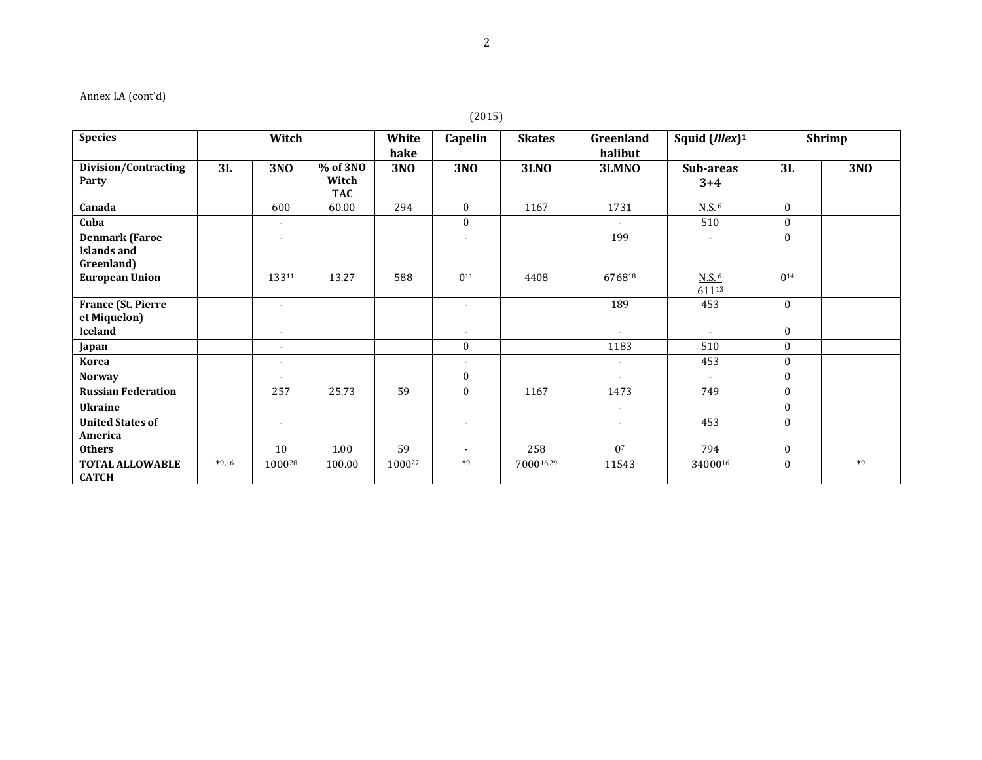# Annex I.A (cont'd)

# (2015)

| <b>Species</b>                                     | Witch   |                          |                     | White      | Capelin                  | <b>Skates</b> | Greenland      | Squid $(Illex)^1$            | <b>Shrimp</b>    |            |
|----------------------------------------------------|---------|--------------------------|---------------------|------------|--------------------------|---------------|----------------|------------------------------|------------------|------------|
|                                                    |         |                          |                     | hake       |                          |               | halibut        |                              |                  |            |
| Division/Contracting                               | 3L      | 3NO                      | % of 3NO            | <b>3NO</b> | <b>3NO</b>               | <b>3LNO</b>   | 3LMNO          | Sub-areas                    | 3L               | <b>3NO</b> |
| Party                                              |         |                          | Witch<br><b>TAC</b> |            |                          |               |                | $3 + 4$                      |                  |            |
| Canada                                             |         | 600                      | 60.00               | 294        | $\mathbf{0}$             | 1167          | 1731           | N.S. <sup>6</sup>            | $\mathbf{0}$     |            |
| Cuba                                               |         | $\overline{\phantom{a}}$ |                     |            | $\boldsymbol{0}$         |               | $\blacksquare$ | 510                          | $\mathbf{0}$     |            |
| <b>Denmark (Faroe</b><br>Islands and<br>Greenland) |         | $\overline{\phantom{a}}$ |                     |            |                          |               | 199            |                              | $\mathbf{0}$     |            |
| <b>European Union</b>                              |         | 13311                    | 13.27               | 588        | $0^{11}$                 | 4408          | 676818         | $N.S.$ <sup>6</sup><br>61113 | $0^{14}$         |            |
| <b>France (St. Pierre</b><br>et Miquelon)          |         | $\overline{\phantom{a}}$ |                     |            | $\overline{\phantom{a}}$ |               | 189            | 453                          | $\mathbf{0}$     |            |
| <b>Iceland</b>                                     |         | $\overline{\phantom{a}}$ |                     |            | $\overline{\phantom{a}}$ |               | $\sim$         | $\blacksquare$               | $\mathbf{0}$     |            |
| Japan                                              |         | $\sim$                   |                     |            | $\mathbf{0}$             |               | 1183           | 510                          | $\mathbf{0}$     |            |
| <b>Korea</b>                                       |         | $\blacksquare$           |                     |            |                          |               | $\blacksquare$ | 453                          | $\mathbf{0}$     |            |
| <b>Norway</b>                                      |         | ٠                        |                     |            | $\boldsymbol{0}$         |               | $\blacksquare$ |                              | $\mathbf{0}$     |            |
| <b>Russian Federation</b>                          |         | 257                      | 25.73               | 59         | $\mathbf{0}$             | 1167          | 1473           | 749                          | $\boldsymbol{0}$ |            |
| <b>Ukraine</b>                                     |         |                          |                     |            |                          |               | $\sim$         |                              | $\mathbf{0}$     |            |
| <b>United States of</b><br>America                 |         | $\blacksquare$           |                     |            | $\overline{\phantom{a}}$ |               | ٠              | 453                          | $\mathbf{0}$     |            |
| <b>Others</b>                                      |         | 10                       | 1.00                | 59         | $\overline{\phantom{a}}$ | 258           | 0 <sup>7</sup> | 794                          | $\mathbf{0}$     |            |
| <b>TOTAL ALLOWABLE</b><br><b>CATCH</b>             | $*9,16$ | 100028                   | 100.00              | 100027     | $*9$                     | 700016,29     | 11543          | 3400016                      | $\Omega$         | $*9$       |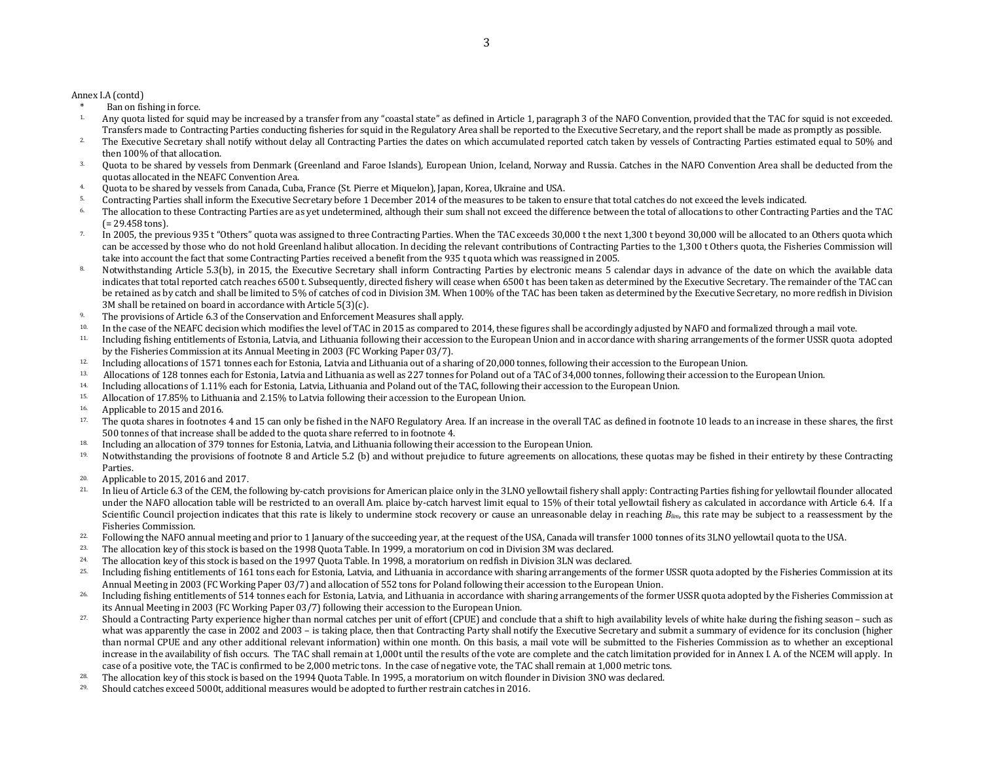Annex I.A (contd)

- \* Ban on fishing in force.<br>1. Any quota listed for squi
- Any quota listed for squid may be increased by a transfer from any "coastal state" as defined in Article 1, paragraph 3 of the NAFO Convention, provided that the TAC for squid is not exceeded. Transfers made to Contracting Parties conducting fisheries for squid in the Regulatory Area shall be reported to the Executive Secretary, and the report shall be made as promptly as possible.
- <sup>2</sup> The Executive Secretary shall notify without delay all Contracting Parties the dates on which accumulated reported catch taken by vessels of Contracting Parties estimated equal to 50% and then 100% of that allocation.
- <sup>3</sup>. Quota to be shared by vessels from Denmark (Greenland and Faroe Islands), European Union, Iceland, Norway and Russia. Catches in the NAFO Convention Area shall be deducted from the quotas allocated in the NEAFC Convention Area.
- 4. Quota to be shared by vessels from Canada, Cuba, France (St. Pierre et Miquelon), Japan, Korea, Ukraine and USA.
- 5. Contracting Parties shall inform the Executive Secretary before 1 December 2014 of the measures to be taken to ensure that total catches do not exceed the levels indicated.
- 6. The allocation to these Contracting Parties are as yet undetermined, although their sum shall not exceed the difference between the total of allocations to other Contracting Parties and the TAC (= 29.458 tons).
- <sup>7</sup>. In 2005, the previous 935 t "Others" quota was assigned to three Contracting Parties. When the TAC exceeds 30,000 t the next 1,300 t beyond 30,000 will be allocated to an Others quota which can be accessed by those who do not hold Greenland halibut allocation. In deciding the relevant contributions of Contracting Parties to the 1,300 t Others quota, the Fisheries Commission will take into account the fact that some Contracting Parties received a benefit from the 935 t quota which was reassigned in 2005.
- 8. Notwithstanding Article 5.3(b), in 2015, the Executive Secretary shall inform Contracting Parties by electronic means 5 calendar days in advance of the date on which the available data indicates that total reported catch reaches 6500 t. Subsequently, directed fishery will cease when 6500 t has been taken as determined by the Executive Secretary. The remainder of the TAC can be retained as by catch and shall be limited to 5% of catches of cod in Division 3M. When 100% of the TAC has been taken as determined by the Executive Secretary, no more redfish in Division 3M shall be retained on board in accordance with Article 5(3)(c).
- <sup>9.</sup> The provisions of Article 6.3 of the Conservation and Enforcement Measures shall apply.
- <sup>10.</sup> In the case of the NEAFC decision which modifies the level of TAC in 2015 as compared to 2014, these figures shall be accordingly adjusted by NAFO and formalized through a mail vote.
- 11. Including fishing entitlements of Estonia, Latvia, and Lithuania following their accession to the European Union and in accordance with sharing arrangements of the former USSR quota adopted by the Fisheries Commission at its Annual Meeting in 2003 (FC Working Paper 03/7).
- <sup>12.</sup> Including allocations of 1571 tonnes each for Estonia, Latvia and Lithuania out of a sharing of 20,000 tonnes, following their accession to the European Union.
- <sup>13.</sup> Allocations of 128 tonnes each for Estonia, Latvia and Lithuania as well as 227 tonnes for Poland out of a TAC of 34,000 tonnes, following their accession to the European Union.
- 14. Including allocations of 1.11% each for Estonia, Latvia, Lithuania and Poland out of the TAC, following their accession to the European Union.
- 15. Allocation of 17.85% to Lithuania and 2.15% to Latvia following their accession to the European Union.
- 16. Applicable to 2015 and 2016.
- <sup>17.</sup> The quota shares in footnotes 4 and 15 can only be fished in the NAFO Regulatory Area. If an increase in the overall TAC as defined in footnote 10 leads to an increase in these shares, the first 500 tonnes of that increase shall be added to the quota share referred to in footnote 4.
- <sup>18.</sup> Including an allocation of 379 tonnes for Estonia, Latvia, and Lithuania following their accession to the European Union.
- <sup>19.</sup> Notwithstanding the provisions of footnote 8 and Article 5.2 (b) and without prejudice to future agreements on allocations, these quotas may be fished in their entirety by these Contracting Parties.
- 20. Applicable to 2015, 2016 and 2017.
- <sup>21</sup>. In lieu of Article 6.3 of the CEM, the following by-catch provisions for American plaice only in the 3LNO yellowtail fishery shall apply: Contracting Parties fishing for vellowtail flounder allocated under the NAFO allocation table will be restricted to an overall Am. plaice by-catch harvest limit equal to 15% of their total yellowtail fishery as calculated in accordance with Article 6.4. If a Scientific Council projection indicates that this rate is likely to undermine stock recovery or cause an unreasonable delay in reaching  $B_{lim}$ , this rate may be subject to a reassessment by the Fisheries Commission.
- <sup>22</sup>. Following the NAFO annual meeting and prior to 1 January of the succeeding year, at the request of the USA, Canada will transfer 1000 tonnes of its 3LNO yellowtail quota to the USA.<br><sup>23</sup>. The allegation low of this s
- 23. The allocation key of this stock is based on the 1998 Quota Table. In 1999, a moratorium on cod in Division 3M was declared.
- <sup>24</sup>. The allocation key of this stock is based on the 1997 Quota Table. In 1998, a moratorium on redfish in Division 3LN was declared.
- <sup>25.</sup> Including fishing entitlements of 161 tons each for Estonia, Latvia, and Lithuania in accordance with sharing arrangements of the former USSR quota adopted by the Fisheries Commission at its Annual Meeting in 2003 (FC Working Paper 03/7) and allocation of 552 tons for Poland following their accession to the European Union.
- <sup>26.</sup> Including fishing entitlements of 514 tonnes each for Estonia, Latvia, and Lithuania in accordance with sharing arrangements of the former USSR quota adopted by the Fisheries Commission at its Annual Meeting in 2003 (FC Working Paper 03/7) following their accession to the European Union.
- <sup>27</sup>. Should a Contracting Party experience higher than normal catches per unit of effort (CPUE) and conclude that a shift to high availability levels of white hake during the fishing season such as what was apparently the case in 2002 and 2003 – is taking place, then that Contracting Party shall notify the Executive Secretary and submit a summary of evidence for its conclusion (higher than normal CPUE and any other additional relevant information) within one month. On this basis, a mail vote will be submitted to the Fisheries Commission as to whether an exceptional increase in the availability of fish occurs. The TAC shall remain at 1,000t until the results of the vote are complete and the catch limitation provided for in Annex I. A. of the NCEM will apply. In case of a positive vote, the TAC is confirmed to be 2,000 metric tons. In the case of negative vote, the TAC shall remain at 1,000 metric tons.
- 28. The allocation key of this stock is based on the 1994 Quota Table. In 1995, a moratorium on witch flounder in Division 3NO was declared.
- $29.$  Should catches exceed 5000t, additional measures would be adopted to further restrain catches in 2016.